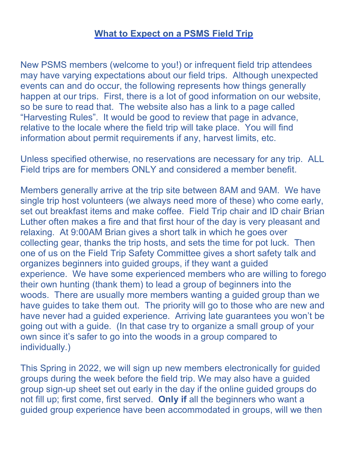## What to Expect on a PSMS Field Trip

New PSMS members (welcome to you!) or infrequent field trip attendees may have varying expectations about our field trips. Although unexpected events can and do occur, the following represents how things generally happen at our trips. First, there is a lot of good information on our website, so be sure to read that. The website also has a link to a page called "Harvesting Rules". It would be good to review that page in advance, relative to the locale where the field trip will take place. You will find information about permit requirements if any, harvest limits, etc.

Unless specified otherwise, no reservations are necessary for any trip. ALL Field trips are for members ONLY and considered a member benefit.

Members generally arrive at the trip site between 8AM and 9AM. We have single trip host volunteers (we always need more of these) who come early, set out breakfast items and make coffee. Field Trip chair and ID chair Brian Luther often makes a fire and that first hour of the day is very pleasant and relaxing. At 9:00AM Brian gives a short talk in which he goes over collecting gear, thanks the trip hosts, and sets the time for pot luck. Then one of us on the Field Trip Safety Committee gives a short safety talk and organizes beginners into guided groups, if they want a guided experience. We have some experienced members who are willing to forego their own hunting (thank them) to lead a group of beginners into the woods. There are usually more members wanting a guided group than we have guides to take them out. The priority will go to those who are new and have never had a guided experience. Arriving late guarantees you won't be going out with a guide. (In that case try to organize a small group of your own since it's safer to go into the woods in a group compared to individually.)

This Spring in 2022, we will sign up new members electronically for guided groups during the week before the field trip. We may also have a guided group sign-up sheet set out early in the day if the online guided groups do not fill up; first come, first served. Only if all the beginners who want a guided group experience have been accommodated in groups, will we then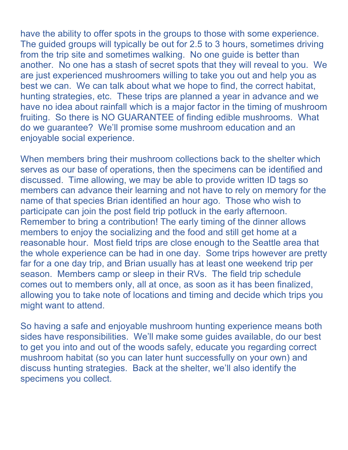have the ability to offer spots in the groups to those with some experience. The guided groups will typically be out for 2.5 to 3 hours, sometimes driving from the trip site and sometimes walking. No one guide is better than another. No one has a stash of secret spots that they will reveal to you. We are just experienced mushroomers willing to take you out and help you as best we can. We can talk about what we hope to find, the correct habitat, hunting strategies, etc. These trips are planned a year in advance and we have no idea about rainfall which is a major factor in the timing of mushroom fruiting. So there is NO GUARANTEE of finding edible mushrooms. What do we guarantee? We'll promise some mushroom education and an enjoyable social experience.

When members bring their mushroom collections back to the shelter which serves as our base of operations, then the specimens can be identified and discussed. Time allowing, we may be able to provide written ID tags so members can advance their learning and not have to rely on memory for the name of that species Brian identified an hour ago. Those who wish to participate can join the post field trip potluck in the early afternoon. Remember to bring a contribution! The early timing of the dinner allows members to enjoy the socializing and the food and still get home at a reasonable hour. Most field trips are close enough to the Seattle area that the whole experience can be had in one day. Some trips however are pretty far for a one day trip, and Brian usually has at least one weekend trip per season. Members camp or sleep in their RVs. The field trip schedule comes out to members only, all at once, as soon as it has been finalized, allowing you to take note of locations and timing and decide which trips you might want to attend.

So having a safe and enjoyable mushroom hunting experience means both sides have responsibilities. We'll make some guides available, do our best to get you into and out of the woods safely, educate you regarding correct mushroom habitat (so you can later hunt successfully on your own) and discuss hunting strategies. Back at the shelter, we'll also identify the specimens you collect.